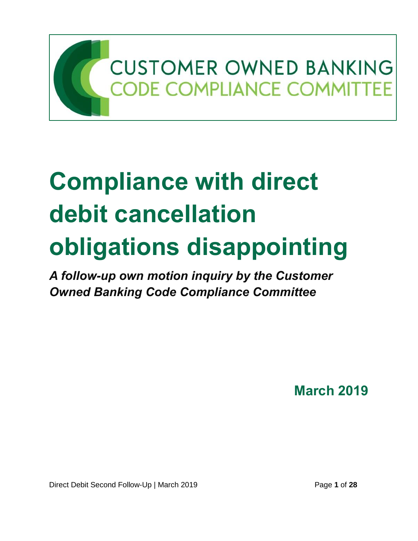

# **Compliance with direct debit cancellation obligations disappointing**

*A follow-up own motion inquiry by the Customer Owned Banking Code Compliance Committee*

**March 2019**

Direct Debit Second Follow-Up | March 2019 **Page 1** of 28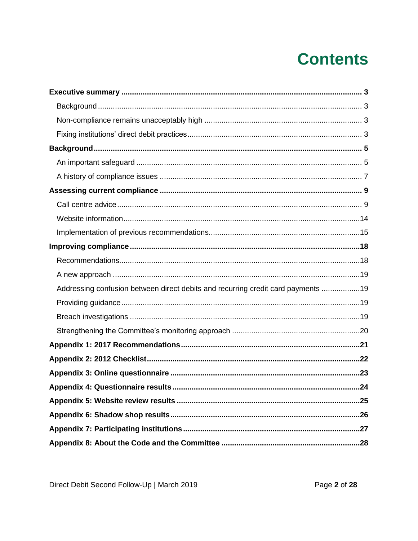# **Contents**

| Addressing confusion between direct debits and recurring credit card payments 19 |  |
|----------------------------------------------------------------------------------|--|
|                                                                                  |  |
|                                                                                  |  |
|                                                                                  |  |
|                                                                                  |  |
|                                                                                  |  |
|                                                                                  |  |
|                                                                                  |  |
|                                                                                  |  |
|                                                                                  |  |
|                                                                                  |  |
|                                                                                  |  |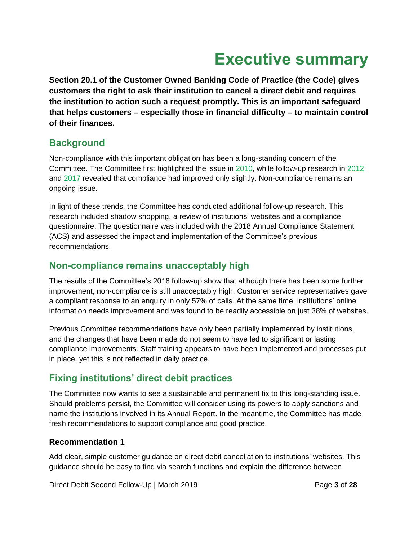# **Executive summary**

<span id="page-2-0"></span>**Section 20.1 of the Customer Owned Banking Code of Practice (the Code) gives customers the right to ask their institution to cancel a direct debit and requires the institution to action such a request promptly. This is an important safeguard that helps customers – especially those in financial difficulty – to maintain control of their finances.**

# <span id="page-2-1"></span>**Background**

Non-compliance with this important obligation has been a long-standing concern of the Committee. The Committee first highlighted the issue in [2010,](http://www.cobccc.org.au/uploads/2011/03/MBCOP-Clause-20-Direct-Debits-Full-Report-Mar-2011.pdf) while follow-up research in [2012](http://www.cobccc.org.au/uploads/2012/06/DirectDebitReport-June-2012.pdf) and [2017](http://www.cobccc.org.au/uploads/2017/09/COB-OMI-Direct-Debit-Follow-Up-Sep2017.pdf) revealed that compliance had improved only slightly. Non-compliance remains an ongoing issue.

In light of these trends, the Committee has conducted additional follow-up research. This research included shadow shopping, a review of institutions' websites and a compliance questionnaire. The questionnaire was included with the 2018 Annual Compliance Statement (ACS) and assessed the impact and implementation of the Committee's previous recommendations.

# <span id="page-2-2"></span>**Non-compliance remains unacceptably high**

The results of the Committee's 2018 follow-up show that although there has been some further improvement, non-compliance is still unacceptably high. Customer service representatives gave a compliant response to an enquiry in only 57% of calls. At the same time, institutions' online information needs improvement and was found to be readily accessible on just 38% of websites.

Previous Committee recommendations have only been partially implemented by institutions, and the changes that have been made do not seem to have led to significant or lasting compliance improvements. Staff training appears to have been implemented and processes put in place, yet this is not reflected in daily practice.

# <span id="page-2-3"></span>**Fixing institutions' direct debit practices**

The Committee now wants to see a sustainable and permanent fix to this long-standing issue. Should problems persist, the Committee will consider using its powers to apply sanctions and name the institutions involved in its Annual Report. In the meantime, the Committee has made fresh recommendations to support compliance and good practice.

# **Recommendation 1**

Add clear, simple customer guidance on direct debit cancellation to institutions' websites. This guidance should be easy to find via search functions and explain the difference between

Direct Debit Second Follow-Up | March 2019 **Page 3** of 28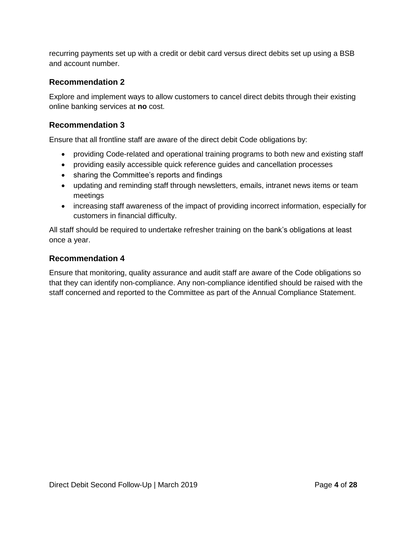recurring payments set up with a credit or debit card versus direct debits set up using a BSB and account number.

### **Recommendation 2**

Explore and implement ways to allow customers to cancel direct debits through their existing online banking services at **no** cost.

### **Recommendation 3**

Ensure that all frontline staff are aware of the direct debit Code obligations by:

- providing Code-related and operational training programs to both new and existing staff
- providing easily accessible quick reference guides and cancellation processes
- sharing the Committee's reports and findings
- updating and reminding staff through newsletters, emails, intranet news items or team meetings
- increasing staff awareness of the impact of providing incorrect information, especially for customers in financial difficulty.

All staff should be required to undertake refresher training on the bank's obligations at least once a year.

### **Recommendation 4**

Ensure that monitoring, quality assurance and audit staff are aware of the Code obligations so that they can identify non-compliance. Any non-compliance identified should be raised with the staff concerned and reported to the Committee as part of the Annual Compliance Statement.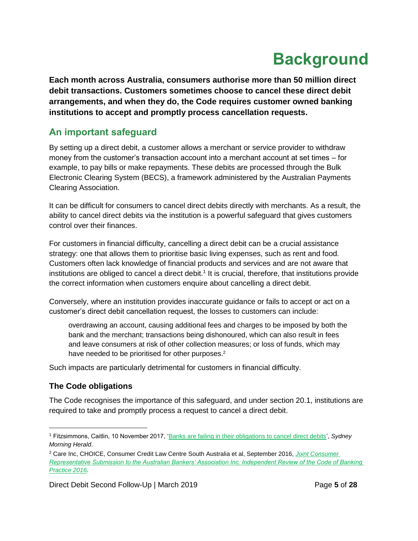# **Background**

<span id="page-4-0"></span>**Each month across Australia, consumers authorise more than 50 million direct debit transactions. Customers sometimes choose to cancel these direct debit arrangements, and when they do, the Code requires customer owned banking institutions to accept and promptly process cancellation requests.**

# <span id="page-4-1"></span>**An important safeguard**

By setting up a direct debit, a customer allows a merchant or service provider to withdraw money from the customer's transaction account into a merchant account at set times – for example, to pay bills or make repayments. These debits are processed through the Bulk Electronic Clearing System (BECS), a framework administered by the Australian Payments Clearing Association.

It can be difficult for consumers to cancel direct debits directly with merchants. As a result, the ability to cancel direct debits via the institution is a powerful safeguard that gives customers control over their finances.

For customers in financial difficulty, cancelling a direct debit can be a crucial assistance strategy: one that allows them to prioritise basic living expenses, such as rent and food. Customers often lack knowledge of financial products and services and are not aware that institutions are obliged to cancel a direct debit.<sup>1</sup> It is crucial, therefore, that institutions provide the correct information when customers enquire about cancelling a direct debit.

Conversely, where an institution provides inaccurate guidance or fails to accept or act on a customer's direct debit cancellation request, the losses to customers can include:

overdrawing an account, causing additional fees and charges to be imposed by both the bank and the merchant; transactions being dishonoured, which can also result in fees and leave consumers at risk of other collection measures; or loss of funds, which may have needed to be prioritised for other purposes.<sup>2</sup>

Such impacts are particularly detrimental for customers in financial difficulty.

# **The Code obligations**

The Code recognises the importance of this safeguard, and under section 20.1, institutions are required to take and promptly process a request to cancel a direct debit.

<sup>1</sup> Fitzsimmons, Caitlin, 10 November 2017, ['Banks are failing in their obligations to cancel direct debits'](https://www.smh.com.au/money/saving/banks-are-failing-in-their-obligations-to-cancel-direct-debits-20171110-gzj6jg.html), *Sydney Morning Herald*.

<sup>2</sup> Care Inc, CHOICE, Consumer Credit Law Centre South Australia et al, September 2016, *[Joint Consumer](https://cclswa.org.au/download/code-of-banking-practice-review/)  [Representative Submission to the Australian Bankers' Association Inc. Independent Review of the Code of Banking](https://cclswa.org.au/download/code-of-banking-practice-review/)  [Practice 2016](https://cclswa.org.au/download/code-of-banking-practice-review/)*.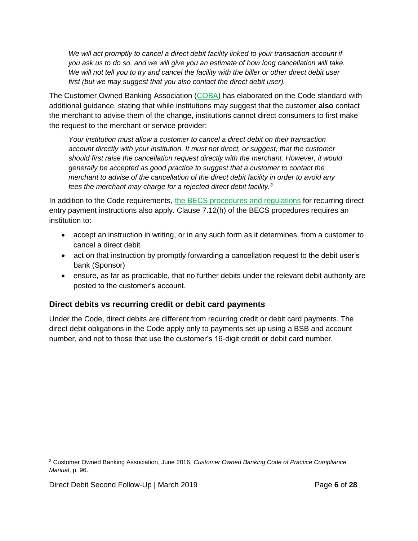We will act promptly to cancel a direct debit facility linked to your transaction account if *you ask us to do so, and we will give you an estimate of how long cancellation will take. We will not tell you to try and cancel the facility with the biller or other direct debit user first (but we may suggest that you also contact the direct debit user).*

The Customer Owned Banking Association [\(COBA\)](http://www.customerownedbanking.asn.au/) has elaborated on the Code standard with additional guidance, stating that while institutions may suggest that the customer **also** contact the merchant to advise them of the change, institutions cannot direct consumers to first make the request to the merchant or service provider:

*Your institution must allow a customer to cancel a direct debit on their transaction account directly with your institution. It must not direct, or suggest, that the customer should first raise the cancellation request directly with the merchant. However, it would generally be accepted as good practice to suggest that a customer to contact the merchant to advise of the cancellation of the direct debit facility in order to avoid any fees the merchant may charge for a rejected direct debit facility. 3*

In addition to the Code requirements, [the BECS procedures and regulations](http://www.apca.com.au/payment-systems/direct-entry) for recurring direct entry payment instructions also apply. Clause 7.12(h) of the BECS procedures requires an institution to:

- accept an instruction in writing, or in any such form as it determines, from a customer to cancel a direct debit
- act on that instruction by promptly forwarding a cancellation request to the debit user's bank (Sponsor)
- ensure, as far as practicable, that no further debits under the relevant debit authority are posted to the customer's account.

### **Direct debits vs recurring credit or debit card payments**

Under the Code, direct debits are different from recurring credit or debit card payments. The direct debit obligations in the Code apply only to payments set up using a BSB and account number, and not to those that use the customer's 16-digit credit or debit card number.

 $\overline{a}$ 

<sup>3</sup> Customer Owned Banking Association, June 2016, *Customer Owned Banking Code of Practice Compliance Manual*, p. 96.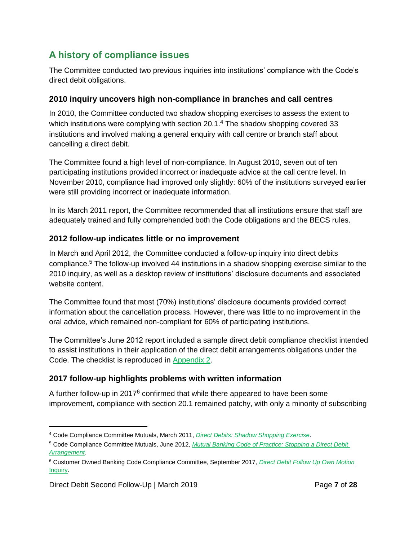# <span id="page-6-0"></span>**A history of compliance issues**

The Committee conducted two previous inquiries into institutions' compliance with the Code's direct debit obligations.

### **2010 inquiry uncovers high non-compliance in branches and call centres**

In 2010, the Committee conducted two shadow shopping exercises to assess the extent to which institutions were complying with section  $20.1$ .<sup>4</sup> The shadow shopping covered 33 institutions and involved making a general enquiry with call centre or branch staff about cancelling a direct debit.

The Committee found a high level of non-compliance. In August 2010, seven out of ten participating institutions provided incorrect or inadequate advice at the call centre level. In November 2010, compliance had improved only slightly: 60% of the institutions surveyed earlier were still providing incorrect or inadequate information.

In its March 2011 report, the Committee recommended that all institutions ensure that staff are adequately trained and fully comprehended both the Code obligations and the BECS rules.

### **2012 follow-up indicates little or no improvement**

In March and April 2012, the Committee conducted a follow-up inquiry into direct debits compliance. <sup>5</sup> The follow-up involved 44 institutions in a shadow shopping exercise similar to the 2010 inquiry, as well as a desktop review of institutions' disclosure documents and associated website content.

The Committee found that most (70%) institutions' disclosure documents provided correct information about the cancellation process. However, there was little to no improvement in the oral advice, which remained non-compliant for 60% of participating institutions.

The Committee's June 2012 report included a sample direct debit compliance checklist intended to assist institutions in their application of the direct debit arrangements obligations under the Code. The checklist is reproduced in [Appendix 2.](#page-21-0)

# **2017 follow-up highlights problems with written information**

A further follow-up in 2017<sup>6</sup> confirmed that while there appeared to have been some improvement, compliance with section 20.1 remained patchy, with only a minority of subscribing

 $\overline{a}$ 

<sup>4</sup> Code Compliance Committee Mutuals, March 2011, *[Direct Debits: Shadow Shopping Exercise](http://www.cobccc.org.au/uploads/2011/03/MBCOP-Clause-20-Direct-Debits-Full-Report-Mar-2011.pdf)*.

<sup>5</sup> Code Compliance Committee Mutuals, June 2012, *[Mutual Banking Code of Practice: Stopping a Direct Debit](http://www.cobccc.org.au/uploads/2012/06/DirectDebitReport-June-2012.pdf)  [Arrangement](http://www.cobccc.org.au/uploads/2012/06/DirectDebitReport-June-2012.pdf)*.

<sup>6</sup> Customer Owned Banking Code Compliance Committee, September 2017*, [Direct Debit Follow Up Own Motion](http://www.cobccc.org.au/uploads/2017/09/COB-OMI-Direct-Debit-Follow-Up-Sep2017.pdf)*  [Inquiry.](http://www.cobccc.org.au/uploads/2017/09/COB-OMI-Direct-Debit-Follow-Up-Sep2017.pdf)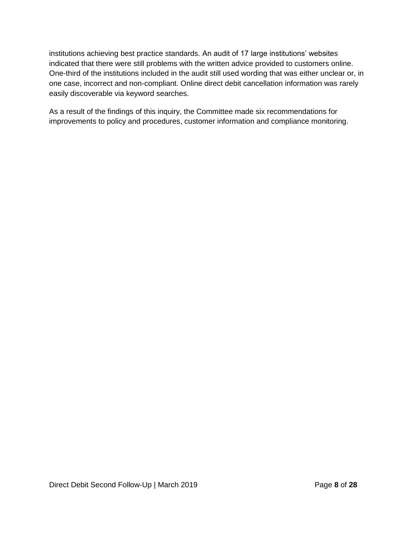institutions achieving best practice standards. An audit of 17 large institutions' websites indicated that there were still problems with the written advice provided to customers online. One-third of the institutions included in the audit still used wording that was either unclear or, in one case, incorrect and non-compliant. Online direct debit cancellation information was rarely easily discoverable via keyword searches.

As a result of the findings of this inquiry, the Committee made six recommendations for improvements to policy and procedures, customer information and compliance monitoring.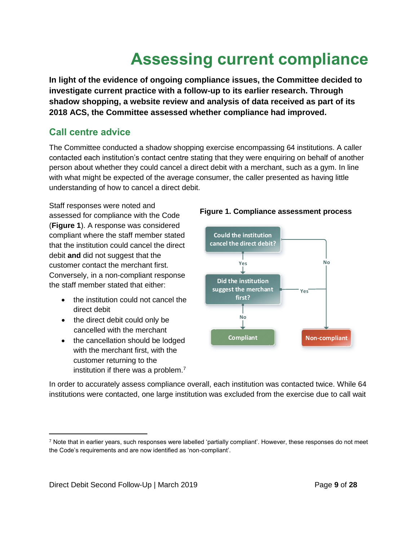# **Assessing current compliance**

<span id="page-8-0"></span>**In light of the evidence of ongoing compliance issues, the Committee decided to investigate current practice with a follow-up to its earlier research. Through shadow shopping, a website review and analysis of data received as part of its 2018 ACS, the Committee assessed whether compliance had improved.**

# <span id="page-8-1"></span>**Call centre advice**

The Committee conducted a shadow shopping exercise encompassing 64 institutions. A caller contacted each institution's contact centre stating that they were enquiring on behalf of another person about whether they could cancel a direct debit with a merchant, such as a gym. In line with what might be expected of the average consumer, the caller presented as having little understanding of how to cancel a direct debit.

Staff responses were noted and assessed for compliance with the Code (**Figure 1**). A response was considered compliant where the staff member stated that the institution could cancel the direct debit **and** did not suggest that the customer contact the merchant first. Conversely, in a non-compliant response the staff member stated that either:

- the institution could not cancel the direct debit
- the direct debit could only be cancelled with the merchant
- the cancellation should be lodged with the merchant first, with the customer returning to the institution if there was a problem. $<sup>7</sup>$ </sup>





In order to accurately assess compliance overall, each institution was contacted twice. While 64 institutions were contacted, one large institution was excluded from the exercise due to call wait

 $\overline{a}$ 

 $7$  Note that in earlier years, such responses were labelled 'partially compliant'. However, these responses do not meet the Code's requirements and are now identified as 'non-compliant'.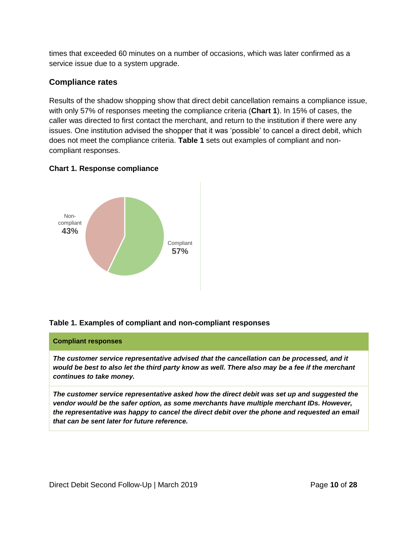times that exceeded 60 minutes on a number of occasions, which was later confirmed as a service issue due to a system upgrade.

### **Compliance rates**

Results of the shadow shopping show that direct debit cancellation remains a compliance issue, with only 57% of responses meeting the compliance criteria (**Chart 1**). In 15% of cases, the caller was directed to first contact the merchant, and return to the institution if there were any issues. One institution advised the shopper that it was 'possible' to cancel a direct debit, which does not meet the compliance criteria. **Table 1** sets out examples of compliant and noncompliant responses.

### **Chart 1. Response compliance**



#### **Table 1. Examples of compliant and non-compliant responses**

#### **Compliant responses**

*The customer service representative advised that the cancellation can be processed, and it would be best to also let the third party know as well. There also may be a fee if the merchant continues to take money.* 

*The customer service representative asked how the direct debit was set up and suggested the vendor would be the safer option, as some merchants have multiple merchant IDs. However, the representative was happy to cancel the direct debit over the phone and requested an email that can be sent later for future reference.*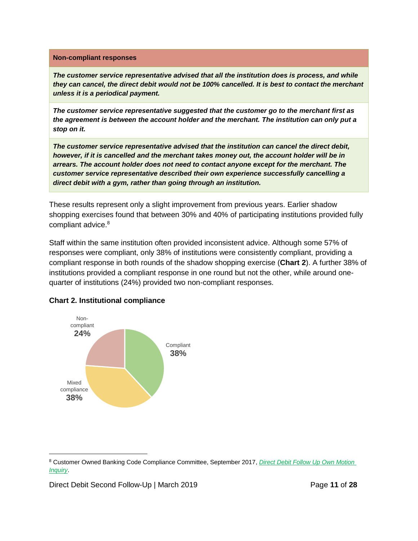#### **Non-compliant responses**

*The customer service representative advised that all the institution does is process, and while they can cancel, the direct debit would not be 100% cancelled. It is best to contact the merchant unless it is a periodical payment.* 

*The customer service representative suggested that the customer go to the merchant first as the agreement is between the account holder and the merchant. The institution can only put a stop on it.*

*The customer service representative advised that the institution can cancel the direct debit, however, if it is cancelled and the merchant takes money out, the account holder will be in arrears. The account holder does not need to contact anyone except for the merchant. The customer service representative described their own experience successfully cancelling a direct debit with a gym, rather than going through an institution.*

These results represent only a slight improvement from previous years. Earlier shadow shopping exercises found that between 30% and 40% of participating institutions provided fully compliant advice. 8

Staff within the same institution often provided inconsistent advice. Although some 57% of responses were compliant, only 38% of institutions were consistently compliant, providing a compliant response in both rounds of the shadow shopping exercise (**Chart 2**). A further 38% of institutions provided a compliant response in one round but not the other, while around onequarter of institutions (24%) provided two non-compliant responses.



#### **Chart 2. Institutional compliance**

Direct Debit Second Follow-Up | March 2019 **Page 11 of 28** 

 $\overline{a}$ 

<sup>8</sup> Customer Owned Banking Code Compliance Committee, September 2017, *[Direct Debit Follow Up Own Motion](http://www.cobccc.org.au/uploads/2017/09/COB-OMI-Direct-Debit-Follow-Up-Sep2017.pdf)  [Inquiry](http://www.cobccc.org.au/uploads/2017/09/COB-OMI-Direct-Debit-Follow-Up-Sep2017.pdf)*.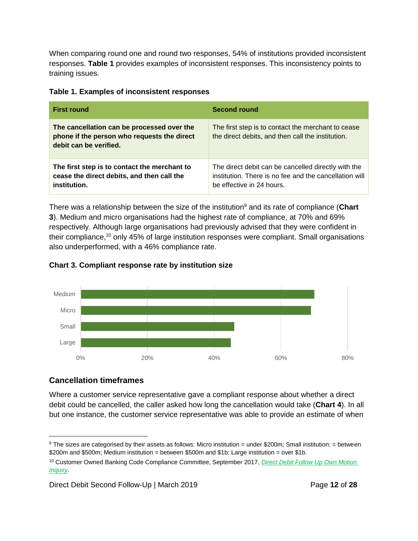When comparing round one and round two responses, 54% of institutions provided inconsistent responses. **Table 1** provides examples of inconsistent responses. This inconsistency points to training issues.

|  |  |  | Table 1. Examples of inconsistent responses |  |
|--|--|--|---------------------------------------------|--|
|--|--|--|---------------------------------------------|--|

| <b>First round</b>                                                                                                  | <b>Second round</b>                                                                                                                        |
|---------------------------------------------------------------------------------------------------------------------|--------------------------------------------------------------------------------------------------------------------------------------------|
| The cancellation can be processed over the<br>phone if the person who requests the direct<br>debit can be verified. | The first step is to contact the merchant to cease<br>the direct debits, and then call the institution.                                    |
| The first step is to contact the merchant to<br>cease the direct debits, and then call the<br>institution.          | The direct debit can be cancelled directly with the<br>institution. There is no fee and the cancellation will<br>be effective in 24 hours. |

There was a relationship between the size of the institution<sup>9</sup> and its rate of compliance (Chart **3**). Medium and micro organisations had the highest rate of compliance, at 70% and 69% respectively. Although large organisations had previously advised that they were confident in their compliance,<sup>10</sup> only 45% of large institution responses were compliant. Small organisations also underperformed, with a 46% compliance rate.





# **Cancellation timeframes**

 $\overline{a}$ 

Where a customer service representative gave a compliant response about whether a direct debit could be cancelled, the caller asked how long the cancellation would take (**Chart 4**). In all but one instance, the customer service representative was able to provide an estimate of when

 $9$  The sizes are categorised by their assets as follows: Micro institution = under \$200m; Small institution: = between \$200m and \$500m; Medium institution = between \$500m and \$1b; Large institution = over \$1b.

<sup>10</sup> Customer Owned Banking Code Compliance Committee, September 2017, *[Direct Debit Follow Up Own Motion](http://www.cobccc.org.au/uploads/2017/09/COB-OMI-Direct-Debit-Follow-Up-Sep2017.pdf)  [Inquiry](http://www.cobccc.org.au/uploads/2017/09/COB-OMI-Direct-Debit-Follow-Up-Sep2017.pdf)*.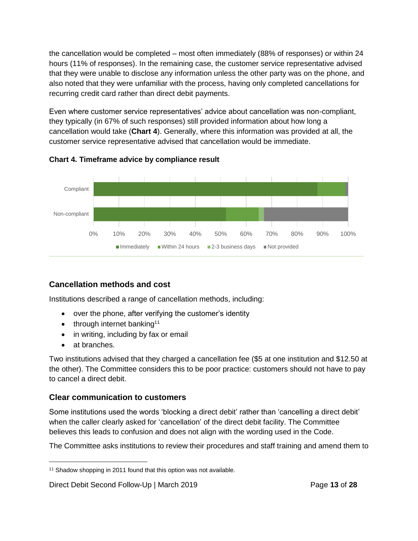the cancellation would be completed – most often immediately (88% of responses) or within 24 hours (11% of responses). In the remaining case, the customer service representative advised that they were unable to disclose any information unless the other party was on the phone, and also noted that they were unfamiliar with the process, having only completed cancellations for recurring credit card rather than direct debit payments.

Even where customer service representatives' advice about cancellation was non-compliant, they typically (in 67% of such responses) still provided information about how long a cancellation would take (**Chart 4**). Generally, where this information was provided at all, the customer service representative advised that cancellation would be immediate.



### **Chart 4. Timeframe advice by compliance result**

# **Cancellation methods and cost**

Institutions described a range of cancellation methods, including:

- over the phone, after verifying the customer's identity
- $\bullet$  through internet banking<sup>11</sup>
- in writing, including by fax or email
- at branches.

Two institutions advised that they charged a cancellation fee (\$5 at one institution and \$12.50 at the other). The Committee considers this to be poor practice: customers should not have to pay to cancel a direct debit.

# **Clear communication to customers**

Some institutions used the words 'blocking a direct debit' rather than 'cancelling a direct debit' when the caller clearly asked for 'cancellation' of the direct debit facility. The Committee believes this leads to confusion and does not align with the wording used in the Code.

The Committee asks institutions to review their procedures and staff training and amend them to

<sup>&</sup>lt;sup>11</sup> Shadow shopping in 2011 found that this option was not available.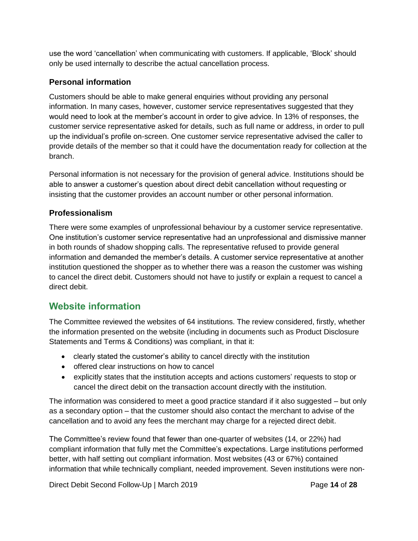use the word 'cancellation' when communicating with customers. If applicable, 'Block' should only be used internally to describe the actual cancellation process.

### **Personal information**

Customers should be able to make general enquiries without providing any personal information. In many cases, however, customer service representatives suggested that they would need to look at the member's account in order to give advice. In 13% of responses, the customer service representative asked for details, such as full name or address, in order to pull up the individual's profile on-screen. One customer service representative advised the caller to provide details of the member so that it could have the documentation ready for collection at the branch.

Personal information is not necessary for the provision of general advice. Institutions should be able to answer a customer's question about direct debit cancellation without requesting or insisting that the customer provides an account number or other personal information.

### **Professionalism**

There were some examples of unprofessional behaviour by a customer service representative. One institution's customer service representative had an unprofessional and dismissive manner in both rounds of shadow shopping calls. The representative refused to provide general information and demanded the member's details. A customer service representative at another institution questioned the shopper as to whether there was a reason the customer was wishing to cancel the direct debit. Customers should not have to justify or explain a request to cancel a direct debit.

# <span id="page-13-0"></span>**Website information**

The Committee reviewed the websites of 64 institutions. The review considered, firstly, whether the information presented on the website (including in documents such as Product Disclosure Statements and Terms & Conditions) was compliant, in that it:

- clearly stated the customer's ability to cancel directly with the institution
- offered clear instructions on how to cancel
- explicitly states that the institution accepts and actions customers' requests to stop or cancel the direct debit on the transaction account directly with the institution.

The information was considered to meet a good practice standard if it also suggested – but only as a secondary option – that the customer should also contact the merchant to advise of the cancellation and to avoid any fees the merchant may charge for a rejected direct debit.

The Committee's review found that fewer than one-quarter of websites (14, or 22%) had compliant information that fully met the Committee's expectations. Large institutions performed better, with half setting out compliant information. Most websites (43 or 67%) contained information that while technically compliant, needed improvement. Seven institutions were non-

Direct Debit Second Follow-Up | March 2019 **Page 14** of 28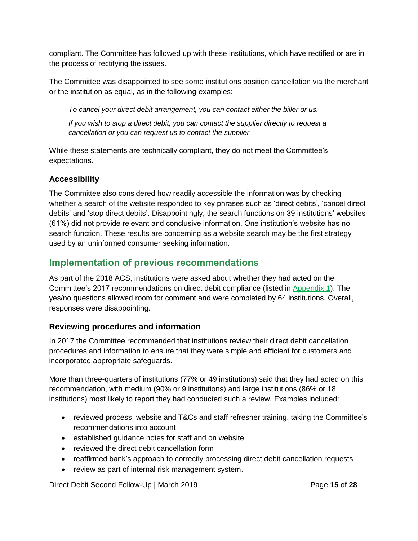compliant. The Committee has followed up with these institutions, which have rectified or are in the process of rectifying the issues.

The Committee was disappointed to see some institutions position cancellation via the merchant or the institution as equal, as in the following examples:

*To cancel your direct debit arrangement, you can contact either the biller or us.*

*If you wish to stop a direct debit, you can contact the supplier directly to request a cancellation or you can request us to contact the supplier.*

While these statements are technically compliant, they do not meet the Committee's expectations.

# **Accessibility**

The Committee also considered how readily accessible the information was by checking whether a search of the website responded to key phrases such as 'direct debits', 'cancel direct debits' and 'stop direct debits'. Disappointingly, the search functions on 39 institutions' websites (61%) did not provide relevant and conclusive information. One institution's website has no search function. These results are concerning as a website search may be the first strategy used by an uninformed consumer seeking information.

# <span id="page-14-0"></span>**Implementation of previous recommendations**

As part of the 2018 ACS, institutions were asked about whether they had acted on the Committee's 2017 recommendations on direct debit compliance (listed in [Appendix 1\)](#page-20-0). The yes/no questions allowed room for comment and were completed by 64 institutions. Overall, responses were disappointing.

# **Reviewing procedures and information**

In 2017 the Committee recommended that institutions review their direct debit cancellation procedures and information to ensure that they were simple and efficient for customers and incorporated appropriate safeguards.

More than three-quarters of institutions (77% or 49 institutions) said that they had acted on this recommendation, with medium (90% or 9 institutions) and large institutions (86% or 18 institutions) most likely to report they had conducted such a review. Examples included:

- reviewed process, website and T&Cs and staff refresher training, taking the Committee's recommendations into account
- established quidance notes for staff and on website
- reviewed the direct debit cancellation form
- reaffirmed bank's approach to correctly processing direct debit cancellation requests
- review as part of internal risk management system.

Direct Debit Second Follow-Up | March 2019 **Page 15** of 28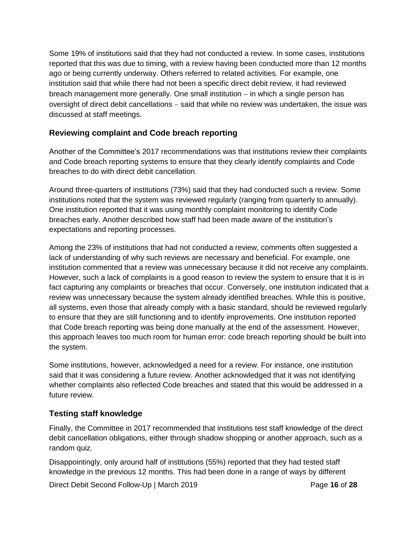Some 19% of institutions said that they had not conducted a review. In some cases, institutions reported that this was due to timing, with a review having been conducted more than 12 months ago or being currently underway. Others referred to related activities. For example, one institution said that while there had not been a specific direct debit review, it had reviewed breach management more generally. One small institution  $-$  in which a single person has oversight of direct debit cancellations – said that while no review was undertaken, the issue was discussed at staff meetings.

### **Reviewing complaint and Code breach reporting**

Another of the Committee's 2017 recommendations was that institutions review their complaints and Code breach reporting systems to ensure that they clearly identify complaints and Code breaches to do with direct debit cancellation.

Around three-quarters of institutions (73%) said that they had conducted such a review. Some institutions noted that the system was reviewed regularly (ranging from quarterly to annually). One institution reported that it was using monthly complaint monitoring to identify Code breaches early. Another described how staff had been made aware of the institution's expectations and reporting processes.

Among the 23% of institutions that had not conducted a review, comments often suggested a lack of understanding of why such reviews are necessary and beneficial. For example, one institution commented that a review was unnecessary because it did not receive any complaints. However, such a lack of complaints is a good reason to review the system to ensure that it is in fact capturing any complaints or breaches that occur. Conversely, one institution indicated that a review was unnecessary because the system already identified breaches. While this is positive, all systems, even those that already comply with a basic standard, should be reviewed regularly to ensure that they are still functioning and to identify improvements. One institution reported that Code breach reporting was being done manually at the end of the assessment. However, this approach leaves too much room for human error: code breach reporting should be built into the system.

Some institutions, however, acknowledged a need for a review. For instance, one institution said that it was considering a future review. Another acknowledged that it was not identifying whether complaints also reflected Code breaches and stated that this would be addressed in a future review.

# **Testing staff knowledge**

Finally, the Committee in 2017 recommended that institutions test staff knowledge of the direct debit cancellation obligations, either through shadow shopping or another approach, such as a random quiz.

Disappointingly, only around half of institutions (55%) reported that they had tested staff knowledge in the previous 12 months. This had been done in a range of ways by different

Direct Debit Second Follow-Up | March 2019 **Page 16** of 28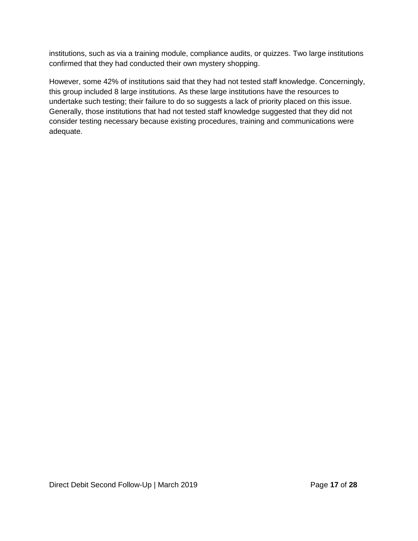institutions, such as via a training module, compliance audits, or quizzes. Two large institutions confirmed that they had conducted their own mystery shopping.

However, some 42% of institutions said that they had not tested staff knowledge. Concerningly, this group included 8 large institutions. As these large institutions have the resources to undertake such testing; their failure to do so suggests a lack of priority placed on this issue. Generally, those institutions that had not tested staff knowledge suggested that they did not consider testing necessary because existing procedures, training and communications were adequate.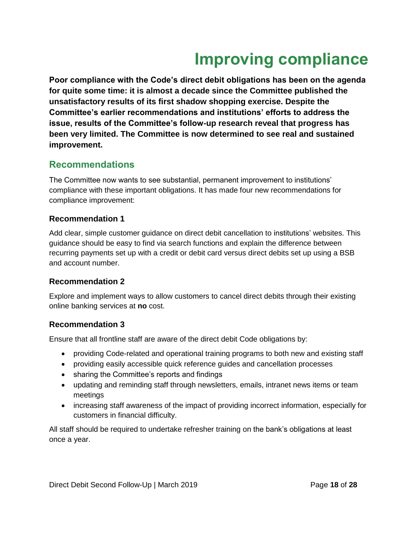# **Improving compliance**

<span id="page-17-0"></span>**Poor compliance with the Code's direct debit obligations has been on the agenda for quite some time: it is almost a decade since the Committee published the unsatisfactory results of its first shadow shopping exercise. Despite the Committee's earlier recommendations and institutions' efforts to address the issue, results of the Committee's follow-up research reveal that progress has been very limited. The Committee is now determined to see real and sustained improvement.**

# <span id="page-17-1"></span>**Recommendations**

The Committee now wants to see substantial, permanent improvement to institutions' compliance with these important obligations. It has made four new recommendations for compliance improvement:

### **Recommendation 1**

Add clear, simple customer guidance on direct debit cancellation to institutions' websites. This guidance should be easy to find via search functions and explain the difference between recurring payments set up with a credit or debit card versus direct debits set up using a BSB and account number.

### **Recommendation 2**

Explore and implement ways to allow customers to cancel direct debits through their existing online banking services at **no** cost.

### **Recommendation 3**

Ensure that all frontline staff are aware of the direct debit Code obligations by:

- providing Code-related and operational training programs to both new and existing staff
- providing easily accessible quick reference guides and cancellation processes
- sharing the Committee's reports and findings
- updating and reminding staff through newsletters, emails, intranet news items or team meetings
- increasing staff awareness of the impact of providing incorrect information, especially for customers in financial difficulty.

All staff should be required to undertake refresher training on the bank's obligations at least once a year.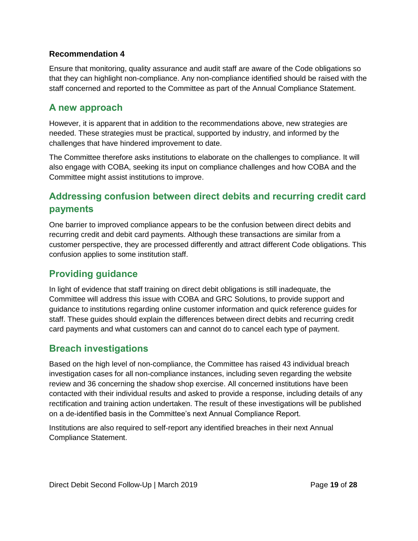### **Recommendation 4**

Ensure that monitoring, quality assurance and audit staff are aware of the Code obligations so that they can highlight non-compliance. Any non-compliance identified should be raised with the staff concerned and reported to the Committee as part of the Annual Compliance Statement.

# <span id="page-18-0"></span>**A new approach**

However, it is apparent that in addition to the recommendations above, new strategies are needed. These strategies must be practical, supported by industry, and informed by the challenges that have hindered improvement to date.

The Committee therefore asks institutions to elaborate on the challenges to compliance. It will also engage with COBA, seeking its input on compliance challenges and how COBA and the Committee might assist institutions to improve.

# <span id="page-18-1"></span>**Addressing confusion between direct debits and recurring credit card payments**

One barrier to improved compliance appears to be the confusion between direct debits and recurring credit and debit card payments. Although these transactions are similar from a customer perspective, they are processed differently and attract different Code obligations. This confusion applies to some institution staff.

# <span id="page-18-2"></span>**Providing guidance**

In light of evidence that staff training on direct debit obligations is still inadequate, the Committee will address this issue with COBA and GRC Solutions, to provide support and guidance to institutions regarding online customer information and quick reference guides for staff. These guides should explain the differences between direct debits and recurring credit card payments and what customers can and cannot do to cancel each type of payment.

# <span id="page-18-3"></span>**Breach investigations**

Based on the high level of non-compliance, the Committee has raised 43 individual breach investigation cases for all non-compliance instances, including seven regarding the website review and 36 concerning the shadow shop exercise. All concerned institutions have been contacted with their individual results and asked to provide a response, including details of any rectification and training action undertaken. The result of these investigations will be published on a de-identified basis in the Committee's next Annual Compliance Report.

Institutions are also required to self-report any identified breaches in their next Annual Compliance Statement.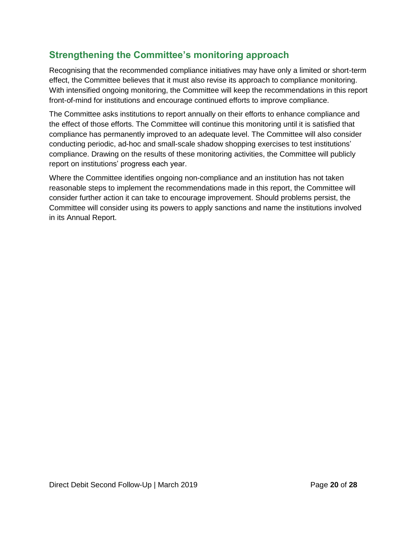# <span id="page-19-0"></span>**Strengthening the Committee's monitoring approach**

Recognising that the recommended compliance initiatives may have only a limited or short-term effect, the Committee believes that it must also revise its approach to compliance monitoring. With intensified ongoing monitoring, the Committee will keep the recommendations in this report front-of-mind for institutions and encourage continued efforts to improve compliance.

The Committee asks institutions to report annually on their efforts to enhance compliance and the effect of those efforts. The Committee will continue this monitoring until it is satisfied that compliance has permanently improved to an adequate level. The Committee will also consider conducting periodic, ad-hoc and small-scale shadow shopping exercises to test institutions' compliance. Drawing on the results of these monitoring activities, the Committee will publicly report on institutions' progress each year.

Where the Committee identifies ongoing non-compliance and an institution has not taken reasonable steps to implement the recommendations made in this report, the Committee will consider further action it can take to encourage improvement. Should problems persist, the Committee will consider using its powers to apply sanctions and name the institutions involved in its Annual Report.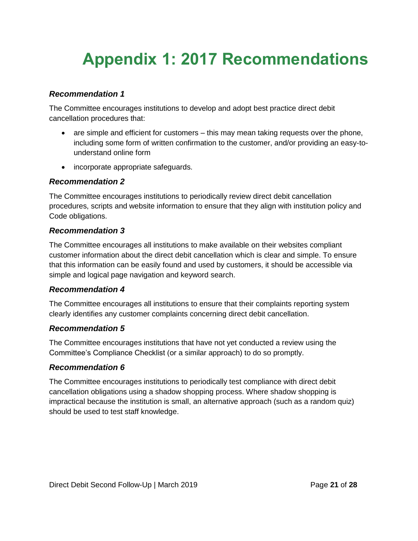# <span id="page-20-0"></span>**Appendix 1: 2017 Recommendations**

### *Recommendation 1*

The Committee encourages institutions to develop and adopt best practice direct debit cancellation procedures that:

- are simple and efficient for customers this may mean taking requests over the phone, including some form of written confirmation to the customer, and/or providing an easy-tounderstand online form
- incorporate appropriate safeguards.

### *Recommendation 2*

The Committee encourages institutions to periodically review direct debit cancellation procedures, scripts and website information to ensure that they align with institution policy and Code obligations.

### *Recommendation 3*

The Committee encourages all institutions to make available on their websites compliant customer information about the direct debit cancellation which is clear and simple. To ensure that this information can be easily found and used by customers, it should be accessible via simple and logical page navigation and keyword search.

#### *Recommendation 4*

The Committee encourages all institutions to ensure that their complaints reporting system clearly identifies any customer complaints concerning direct debit cancellation.

#### *Recommendation 5*

The Committee encourages institutions that have not yet conducted a review using the Committee's Compliance Checklist (or a similar approach) to do so promptly.

#### *Recommendation 6*

The Committee encourages institutions to periodically test compliance with direct debit cancellation obligations using a shadow shopping process. Where shadow shopping is impractical because the institution is small, an alternative approach (such as a random quiz) should be used to test staff knowledge.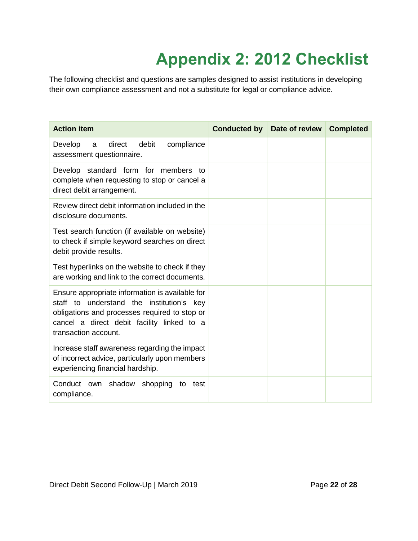# **Appendix 2: 2012 Checklist**

<span id="page-21-0"></span>The following checklist and questions are samples designed to assist institutions in developing their own compliance assessment and not a substitute for legal or compliance advice.

| <b>Action item</b>                                                                                                                                                                                                  | <b>Conducted by</b> | Date of review | <b>Completed</b> |
|---------------------------------------------------------------------------------------------------------------------------------------------------------------------------------------------------------------------|---------------------|----------------|------------------|
| direct<br>Develop<br>debit<br>compliance<br>a<br>assessment questionnaire.                                                                                                                                          |                     |                |                  |
| Develop standard form for members to<br>complete when requesting to stop or cancel a<br>direct debit arrangement.                                                                                                   |                     |                |                  |
| Review direct debit information included in the<br>disclosure documents.                                                                                                                                            |                     |                |                  |
| Test search function (if available on website)<br>to check if simple keyword searches on direct<br>debit provide results.                                                                                           |                     |                |                  |
| Test hyperlinks on the website to check if they<br>are working and link to the correct documents.                                                                                                                   |                     |                |                  |
| Ensure appropriate information is available for<br>staff to understand the institution's key<br>obligations and processes required to stop or<br>cancel a direct debit facility linked to a<br>transaction account. |                     |                |                  |
| Increase staff awareness regarding the impact<br>of incorrect advice, particularly upon members<br>experiencing financial hardship.                                                                                 |                     |                |                  |
| Conduct own shadow<br>shopping<br>to<br>test<br>compliance.                                                                                                                                                         |                     |                |                  |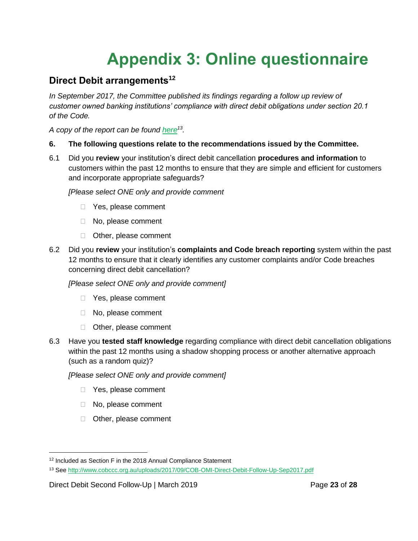# **Appendix 3: Online questionnaire**

# <span id="page-22-0"></span>**Direct Debit arrangements<sup>12</sup>**

In September 2017, the Committee published its findings regarding a follow up review of *customer owned banking institutions' compliance with direct debit obligations under section 20.1 of the Code.*

*A copy of the report can be found [here](http://www.cobccc.org.au/uploads/2017/09/COB-OMI-Direct-Debit-Follow-Up-Sep2017.pdf)<sup>13</sup> .*

### **6. The following questions relate to the recommendations issued by the Committee.**

6.1 Did you **review** your institution's direct debit cancellation **procedures and information** to customers within the past 12 months to ensure that they are simple and efficient for customers and incorporate appropriate safeguards?

*[Please select ONE only and provide comment*

- Yes, please comment
- □ No, please comment
- □ Other, please comment
- 6.2 Did you **review** your institution's **complaints and Code breach reporting** system within the past 12 months to ensure that it clearly identifies any customer complaints and/or Code breaches concerning direct debit cancellation?

*[Please select ONE only and provide comment]*

- Yes, please comment
- □ No, please comment
- □ Other, please comment
- 6.3 Have you **tested staff knowledge** regarding compliance with direct debit cancellation obligations within the past 12 months using a shadow shopping process or another alternative approach (such as a random quiz)?

*[Please select ONE only and provide comment]*

- □ Yes, please comment
- □ No, please comment
- □ Other, please comment

Direct Debit Second Follow-Up | March 2019 **Page 23** of 28

<sup>&</sup>lt;sup>12</sup> Included as Section F in the 2018 Annual Compliance Statement

<sup>13</sup> Se[e http://www.cobccc.org.au/uploads/2017/09/COB-OMI-Direct-Debit-Follow-Up-Sep2017.pdf](http://www.cobccc.org.au/uploads/2017/09/COB-OMI-Direct-Debit-Follow-Up-Sep2017.pdf)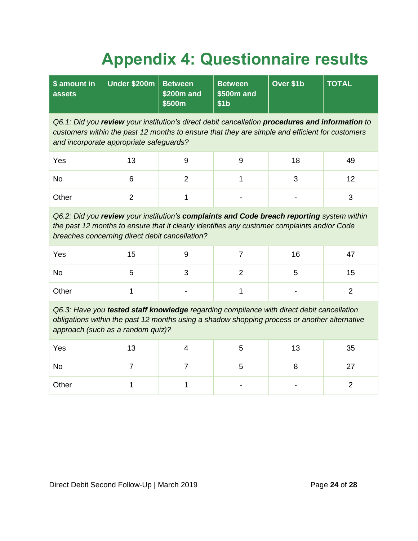# **Appendix 4: Questionnaire results**

<span id="page-23-0"></span>

| \$ amount in<br>assets                                                                                                                                                                                                                       | <b>Under \$200m</b> | <b>Between</b><br>\$200m and<br>\$500m | <b>Between</b><br>\$500m and<br>\$1 <sub>b</sub> | Over \$1b | <b>TOTAL</b>   |  |  |
|----------------------------------------------------------------------------------------------------------------------------------------------------------------------------------------------------------------------------------------------|---------------------|----------------------------------------|--------------------------------------------------|-----------|----------------|--|--|
| Q6.1: Did you review your institution's direct debit cancellation procedures and information to<br>customers within the past 12 months to ensure that they are simple and efficient for customers<br>and incorporate appropriate safeguards? |                     |                                        |                                                  |           |                |  |  |
| Yes                                                                                                                                                                                                                                          | 13                  | 9                                      | 9                                                | 18        | 49             |  |  |
| <b>No</b>                                                                                                                                                                                                                                    | 6                   | $\overline{2}$                         | 1                                                | 3         | 12             |  |  |
| Other                                                                                                                                                                                                                                        | $\overline{2}$      | $\mathbf{1}$                           |                                                  |           | 3              |  |  |
| Q6.2: Did you review your institution's complaints and Code breach reporting system within<br>the past 12 months to ensure that it clearly identifies any customer complaints and/or Code<br>breaches concerning direct debit cancellation?  |                     |                                        |                                                  |           |                |  |  |
| Yes                                                                                                                                                                                                                                          | 15                  | 9                                      | $\overline{7}$                                   | 16        | 47             |  |  |
| <b>No</b>                                                                                                                                                                                                                                    | 5                   | 3                                      | $\overline{2}$                                   | 5         | 15             |  |  |
| Other                                                                                                                                                                                                                                        | 1                   |                                        | 1                                                |           | $\overline{2}$ |  |  |
| Q6.3: Have you tested staff knowledge regarding compliance with direct debit cancellation<br>obligations within the past 12 months using a shadow shopping process or another alternative<br>approach (such as a random quiz)?               |                     |                                        |                                                  |           |                |  |  |
| Yes                                                                                                                                                                                                                                          | 13                  | 4                                      | 5                                                | 13        | 35             |  |  |
| <b>No</b>                                                                                                                                                                                                                                    | $\overline{7}$      | 7                                      | 5                                                | 8         | 27             |  |  |
| Other                                                                                                                                                                                                                                        | 1                   | 1                                      |                                                  |           | $\overline{2}$ |  |  |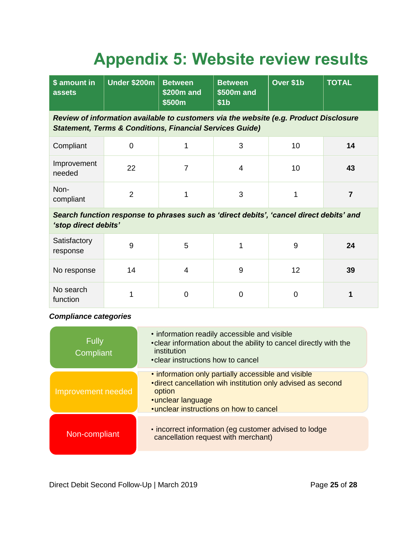# **Appendix 5: Website review results**

<span id="page-24-0"></span>

| \$ amount in<br>assets                                                                                                                                       | <b>Under \$200m</b> | <b>Between</b><br>\$200m and<br>\$500m | <b>Between</b><br>\$500m and<br>\$1 <sub>b</sub> | Over \$1b | <b>TOTAL</b>   |  |
|--------------------------------------------------------------------------------------------------------------------------------------------------------------|---------------------|----------------------------------------|--------------------------------------------------|-----------|----------------|--|
| Review of information available to customers via the website (e.g. Product Disclosure<br><b>Statement, Terms &amp; Conditions, Financial Services Guide)</b> |                     |                                        |                                                  |           |                |  |
| Compliant                                                                                                                                                    | $\overline{0}$      | 1                                      | 3                                                | 10        | 14             |  |
| Improvement<br>needed                                                                                                                                        | 22                  | 7                                      | $\overline{4}$                                   | 10        | 43             |  |
| Non-<br>compliant                                                                                                                                            | $\overline{2}$      | 1                                      | 3                                                |           | $\overline{7}$ |  |
| Search function response to phrases such as 'direct debits', 'cancel direct debits' and<br>'stop direct debits'                                              |                     |                                        |                                                  |           |                |  |
| Satisfactory<br>response                                                                                                                                     | 9                   | 5                                      | 1                                                | 9         | 24             |  |
| No response                                                                                                                                                  | 14                  | 4                                      | 9<br>12                                          |           | 39             |  |
| No search<br>function                                                                                                                                        | 1                   | $\Omega$                               | $\overline{0}$                                   | 0         |                |  |

### *Compliance categories*

| <b>Fully</b><br>Compliant | • information readily accessible and visible<br>• clear information about the ability to cancel directly with the<br>institution<br>• clear instructions how to cancel                         |
|---------------------------|------------------------------------------------------------------------------------------------------------------------------------------------------------------------------------------------|
| Improvement needed        | . information only partially accessible and visible<br>• direct cancellation wih institution only advised as second<br>option<br>· unclear language<br>• unclear instructions on how to cancel |
| Non-compliant             | . incorrect information (eg customer advised to lodge<br>cancellation request with merchant)                                                                                                   |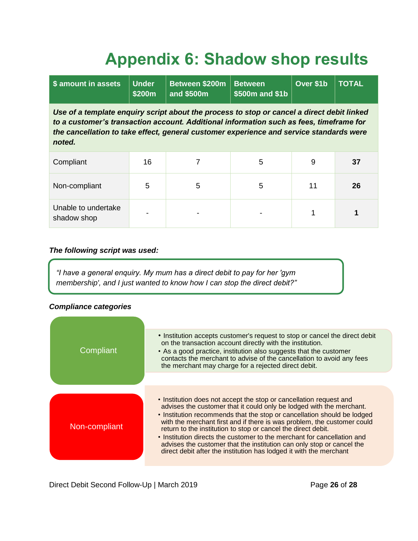# **Appendix 6: Shadow shop results**

<span id="page-25-0"></span>

| \$ amount in assets                                                                                                                                                                                                                                                                        | <b>Under</b><br>\$200m | Between \$200m<br>and \$500m | <b>Between</b><br>$$500m$ and $$1b$ | Over \$1b | <b>TOTAL</b> |
|--------------------------------------------------------------------------------------------------------------------------------------------------------------------------------------------------------------------------------------------------------------------------------------------|------------------------|------------------------------|-------------------------------------|-----------|--------------|
| Use of a template enguiry script about the process to stop or cancel a direct debit linked<br>to a customer's transaction account. Additional information such as fees, timeframe for<br>the cancellation to take effect, general customer experience and service standards were<br>noted. |                        |                              |                                     |           |              |
| Compliant                                                                                                                                                                                                                                                                                  | 16                     | 7                            | 5                                   | 9         | 37           |
| Non-compliant                                                                                                                                                                                                                                                                              | 5                      | 5                            | 5                                   | 11        | 26           |
| Unable to undertake<br>shadow shop                                                                                                                                                                                                                                                         |                        |                              |                                     |           |              |

#### *The following script was used:*

*"I have a general enquiry. My mum has a direct debit to pay for her 'gym membership', and I just wanted to know how I can stop the direct debit?"*

### *Compliance categories*

| Compliant     | • Institution accepts customer's request to stop or cancel the direct debit<br>on the transaction account directly with the institution.<br>• As a good practice, institution also suggests that the customer<br>contacts the merchant to advise of the cancellation to avoid any fees<br>the merchant may charge for a rejected direct debit.                                                                                                                                                                                                                                              |
|---------------|---------------------------------------------------------------------------------------------------------------------------------------------------------------------------------------------------------------------------------------------------------------------------------------------------------------------------------------------------------------------------------------------------------------------------------------------------------------------------------------------------------------------------------------------------------------------------------------------|
|               |                                                                                                                                                                                                                                                                                                                                                                                                                                                                                                                                                                                             |
| Non-compliant | . Institution does not accept the stop or cancellation request and<br>advises the customer that it could only be lodged with the merchant.<br>• Institution recommends that the stop or cancellation should be lodged<br>with the merchant first and if there is was problem, the customer could<br>return to the institution to stop or cancel the direct debit.<br>• Institution directs the customer to the merchant for cancellation and<br>advises the customer that the institution can only stop or cancel the<br>direct debit after the institution has lodged it with the merchant |

Direct Debit Second Follow-Up | March 2019 **Page 26** of 28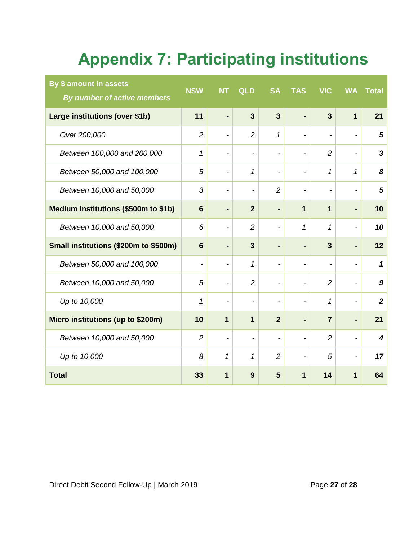# **Appendix 7: Participating institutions**

<span id="page-26-0"></span>

| By \$ amount in assets<br>By number of active members | <b>NSW</b>               | <b>NT</b>                    | <b>QLD</b>                   | <b>SA</b>                | <b>TAS</b>               | <b>VIC</b>               | <b>WA</b>                | <b>Total</b>     |
|-------------------------------------------------------|--------------------------|------------------------------|------------------------------|--------------------------|--------------------------|--------------------------|--------------------------|------------------|
| Large institutions (over \$1b)                        | 11                       | ۰                            | $\overline{3}$               | $\overline{3}$           |                          | $\overline{3}$           | $\overline{1}$           | 21               |
| Over 200,000                                          | $\overline{2}$           | $\qquad \qquad \blacksquare$ | $\overline{2}$               | 1                        |                          | $\overline{\phantom{a}}$ | $\overline{\phantom{a}}$ | 5                |
| Between 100,000 and 200,000                           | $\mathcal I$             | -                            |                              | $\overline{\phantom{a}}$ |                          | $\overline{2}$           | $\overline{\phantom{0}}$ | 3                |
| Between 50,000 and 100,000                            | 5                        | $\qquad \qquad \blacksquare$ | 1                            | $\overline{\phantom{a}}$ | $\overline{\phantom{0}}$ | 1                        | 1                        | 8                |
| Between 10,000 and 50,000                             | 3                        | -                            |                              | $\overline{2}$           |                          |                          | -                        | 5                |
| Medium institutions (\$500m to \$1b)                  | $6\phantom{1}$           |                              | $\overline{2}$               |                          | $\mathbf 1$              | 1                        |                          | 10               |
| Between 10,000 and 50,000                             | 6                        | $\qquad \qquad -$            | $\overline{2}$               | $\overline{\phantom{a}}$ | 1                        | 1                        | -                        | 10               |
| Small institutions (\$200m to \$500m)                 | $6\phantom{1}6$          | $\blacksquare$               | $\overline{3}$               | ٠                        |                          | 3                        |                          | 12               |
| Between 50,000 and 100,000                            | $\overline{\phantom{a}}$ | $\overline{\phantom{a}}$     | 1                            | $\blacksquare$           |                          | $\overline{\phantom{a}}$ | $\overline{\phantom{a}}$ | $\mathbf{1}$     |
| Between 10,000 and 50,000                             | 5                        |                              | $\overline{2}$               | $\overline{\phantom{a}}$ |                          | $\overline{2}$           |                          | 9                |
| Up to 10,000                                          | 1                        |                              |                              | $\overline{\phantom{a}}$ |                          | 1                        | -                        | $\boldsymbol{2}$ |
| Micro institutions (up to \$200m)                     | 10                       | 1                            | $\overline{1}$               | $\overline{2}$           |                          | $\overline{7}$           | Ξ.                       | 21               |
| Between 10,000 and 50,000                             | $\overline{2}$           | $\qquad \qquad \blacksquare$ | $\qquad \qquad \blacksquare$ | $\overline{\phantom{a}}$ |                          | $\overline{c}$           | $\overline{\phantom{a}}$ | 4                |
| Up to 10,000                                          | 8                        | 1                            | 1                            | $\overline{2}$           |                          | 5                        | $\overline{\phantom{a}}$ | 17               |
| <b>Total</b>                                          | 33                       | 1                            | 9                            | 5                        | 1                        | 14                       | $\mathbf 1$              | 64               |